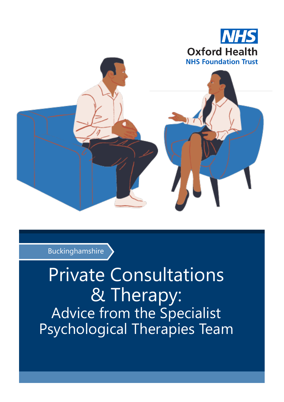

Buckinghamshire

Private Consultations & Therapy: Advice from the Specialist Psychological Therapies Team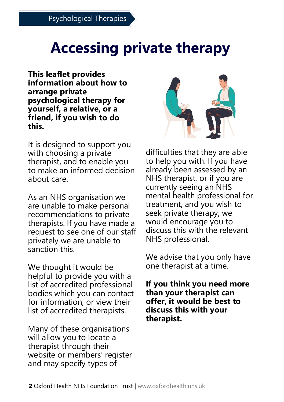# **Accessing private therapy**

**This leaflet provides information about how to arrange private psychological therapy for yourself, a relative, or a friend, if you wish to do this.** 

It is designed to support you with choosing a private therapist, and to enable you to make an informed decision about care.

As an NHS organisation we are unable to make personal recommendations to private therapists. If you have made a request to see one of our staff privately we are unable to sanction this.

We thought it would be helpful to provide you with a list of accredited professional bodies which you can contact for information, or view their list of accredited therapists.

Many of these organisations will allow you to locate a therapist through their website or members' register and may specify types of



difficulties that they are able to help you with. If you have already been assessed by an NHS therapist, or if you are currently seeing an NHS mental health professional for treatment, and you wish to seek private therapy, we would encourage you to discuss this with the relevant NHS professional.

We advise that you only have one therapist at a time.

**If you think you need more than your therapist can offer, it would be best to discuss this with your therapist.**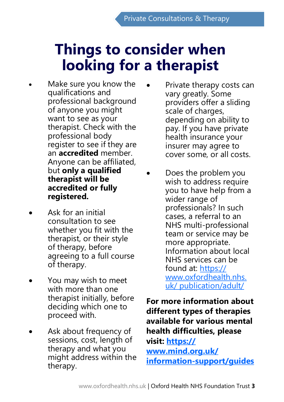# **Things to consider when looking for a therapist**

- Make sure you know the qualifications and professional background of anyone you might want to see as your therapist. Check with the professional body register to see if they are an **accredited** member. Anyone can be affiliated, but **only a qualified therapist will be accredited or fully registered.**
- Ask for an initial consultation to see whether you fit with the therapist, or their style of therapy, before agreeing to a full course of therapy.
- You may wish to meet with more than one therapist initially, before deciding which one to proceed with.
- Ask about frequency of sessions, cost, length of therapy and what you might address within the therapy.
- Private therapy costs can vary greatly. Some providers offer a sliding scale of charges, depending on ability to pay. If you have private health insurance your insurer may agree to cover some, or all costs.
- Does the problem you wish to address require you to have help from a wider range of professionals? In such cases, a referral to an NHS multi-professional team or service may be more appropriate. Information about local NHS services can be found at: [https://](https://www.oxfordhealth.nhs.uk/publication/adult/) [www.oxfordhealth.nhs.](https://www.oxfordhealth.nhs.uk/publication/adult/) [uk/ publication/adult/](https://www.oxfordhealth.nhs.uk/publication/adult/)

**For more information about different types of therapies available for various mental health difficulties, please visit: [https://](https://www.mind.org.uk/information-support/guides-to-support-and-services/) [www.mind.org.uk/](https://www.mind.org.uk/information-support/guides-to-support-and-services/) information-[support/guides](https://www.mind.org.uk/information-support/guides-to-support-and-services/)**